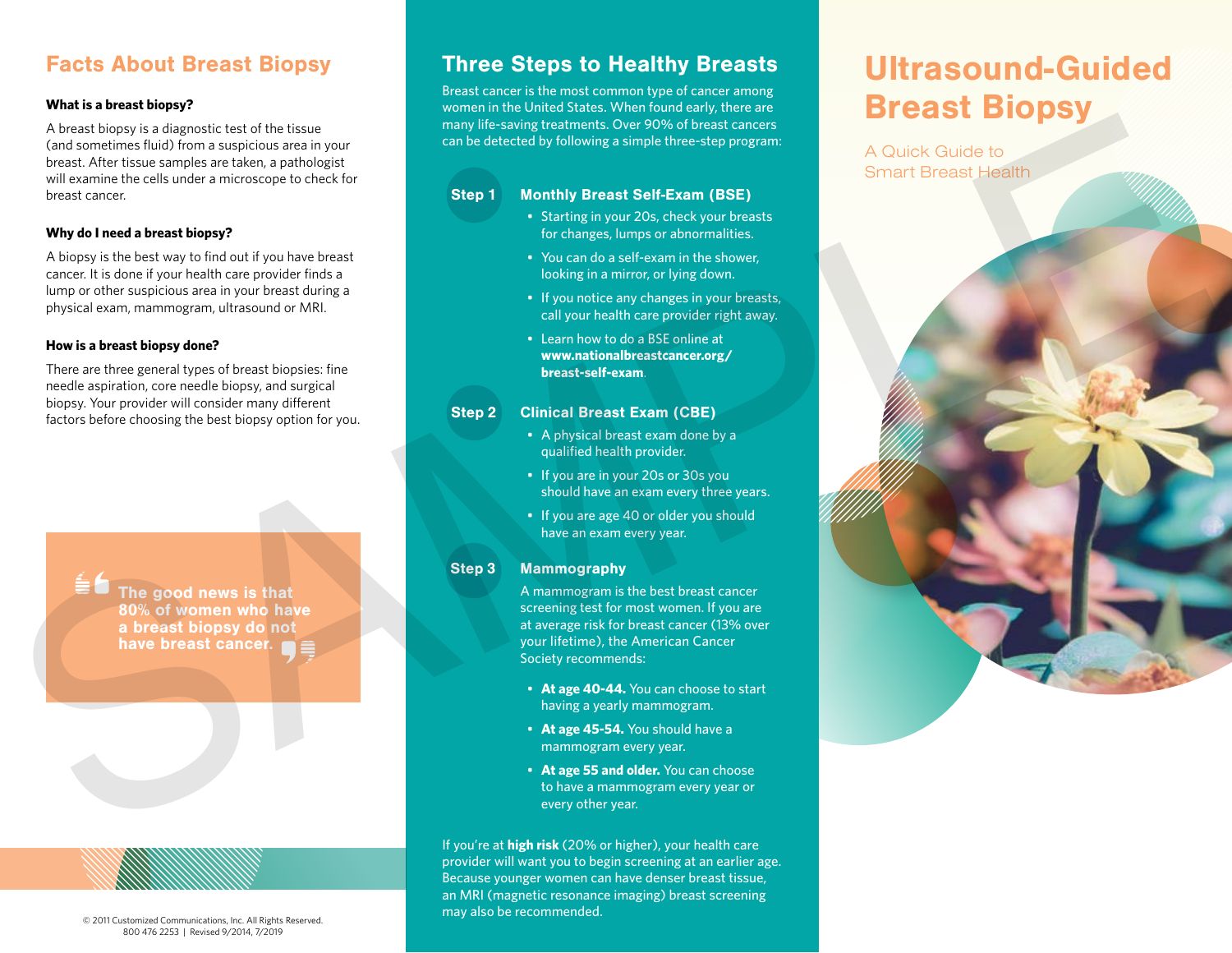## Facts About Breast Biopsy

### **What is a breast biopsy?**

A breast biopsy is a diagnostic test of the tissue (and sometimes fluid) from a suspicious area in your breast. After tissue samples are taken, a pathologist will examine the cells under a microscope to check for breast cancer.

### **Why do I need a breast biopsy?**

A biopsy is the best way to find out if you have breast cancer. It is done if your health care provider finds a lump or other suspicious area in your breast during a physical exam, mammogram, ultrasound or MRI.

### **How is a breast biopsy done?**

There are three general types of breast biopsies: fine needle aspiration, core needle biopsy, and surgical biopsy. Your provider will consider many different factors before choosing the best biopsy option for you.

> The good news is that 80% of women who have a breast biopsy do not have breast cancer.

# Three Steps to Healthy Breasts

Breast cancer is the most common type of cancer among women in the United States. When found early, there are many life-saving treatments. Over 90% of breast cancers can be detected by following a simple three-step program:

#### Step 1 Monthly Breast Self-Exam (BSE)

- Starting in your 20s, check your breasts for changes, lumps or abnormalities.
- You can do a self-exam in the shower, looking in a mirror, or lying down.
- If you notice any changes in your breasts, call your health care provider right away.
- Learn how to do a BSE online at **www.nationalbreastcancer.org/ breast-self-exam**.

#### Step 2 Clinical Breast Exam (CBE)

- A physical breast exam done by a qualified health provider.
- If you are in your 20s or 30s you should have an exam every three years.
- If you are age 40 or older you should have an exam every year.

#### Step 3 Mammography

A mammogram is the best breast cancer screening test for most women. If you are at average risk for breast cancer (13% over your lifetime), the American Cancer Society recommends:

- **At age 40-44.** You can choose to start having a yearly mammogram.
- **At age 45-54.** You should have a mammogram every year.
- **At age 55 and older.** You can choose to have a mammogram every year or every other year.

If you're at **high risk** (20% or higher), your health care provider will want you to begin screening at an earlier age. Because younger women can have denser breast tissue, an MRI (magnetic resonance imaging) breast screening may also be recommended.

# Ultrasound-Guided Breast Biopsy

A Quick Guide to Smart Breast Health



© 2011 Customized Communications, Inc. All Rights Reserved. 800 476 2253 | Revised 9/2014, 7/2019